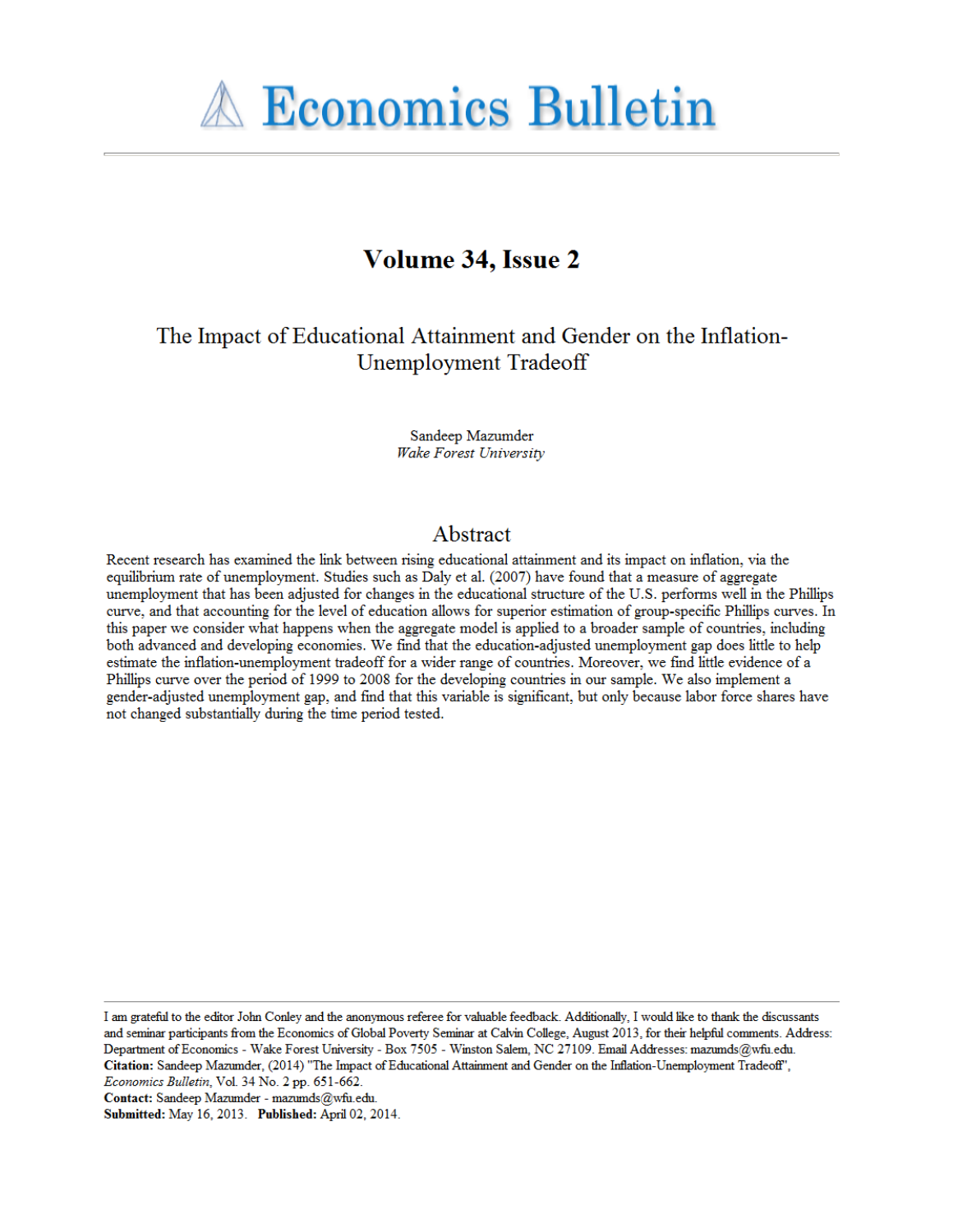

# **Volume 34, Issue 2**

The Impact of Educational Attainment and Gender on the Inflation-Unemployment Tradeoff

> Sandeep Mazumder Wake Forest University

# Abstract

Recent research has examined the link between rising educational attainment and its impact on inflation, via the equilibrium rate of unemployment. Studies such as Daly et al. (2007) have found that a measure of aggregate unemployment that has been adjusted for changes in the educational structure of the U.S. performs well in the Phillips curve, and that accounting for the level of education allows for superior estimation of group-specific Phillips curves. In this paper we consider what happens when the aggregate model is applied to a broader sample of countries, including both advanced and developing economies. We find that the education-adjusted unemployment gap does little to help estimate the inflation-unemployment tradeoff for a wider range of countries. Moreover, we find little evidence of a Phillips curve over the period of 1999 to 2008 for the developing countries in our sample. We also implement a gender-adjusted unemployment gap, and find that this variable is significant, but only because labor force shares have not changed substantially during the time period tested.

I am grateful to the editor John Conley and the anonymous referee for valuable feedback. Additionally, I would like to thank the discussants and seminar participants from the Economics of Global Poverty Seminar at Calvin College, August 2013, for their helpful comments. Address: Department of Economics - Wake Forest University - Box 7505 - Winston Salem, NC 27109. Email Addresses: mazumds@wfu.edu. Citation: Sandeep Mazumder, (2014) "The Impact of Educational Attainment and Gender on the Inflation-Unemployment Tradeoff", Economics Bulletin, Vol. 34 No. 2 pp. 651-662.

Contact: Sandeep Mazumder - mazumds@wfu.edu.

Submitted: May 16, 2013. Published: April 02, 2014.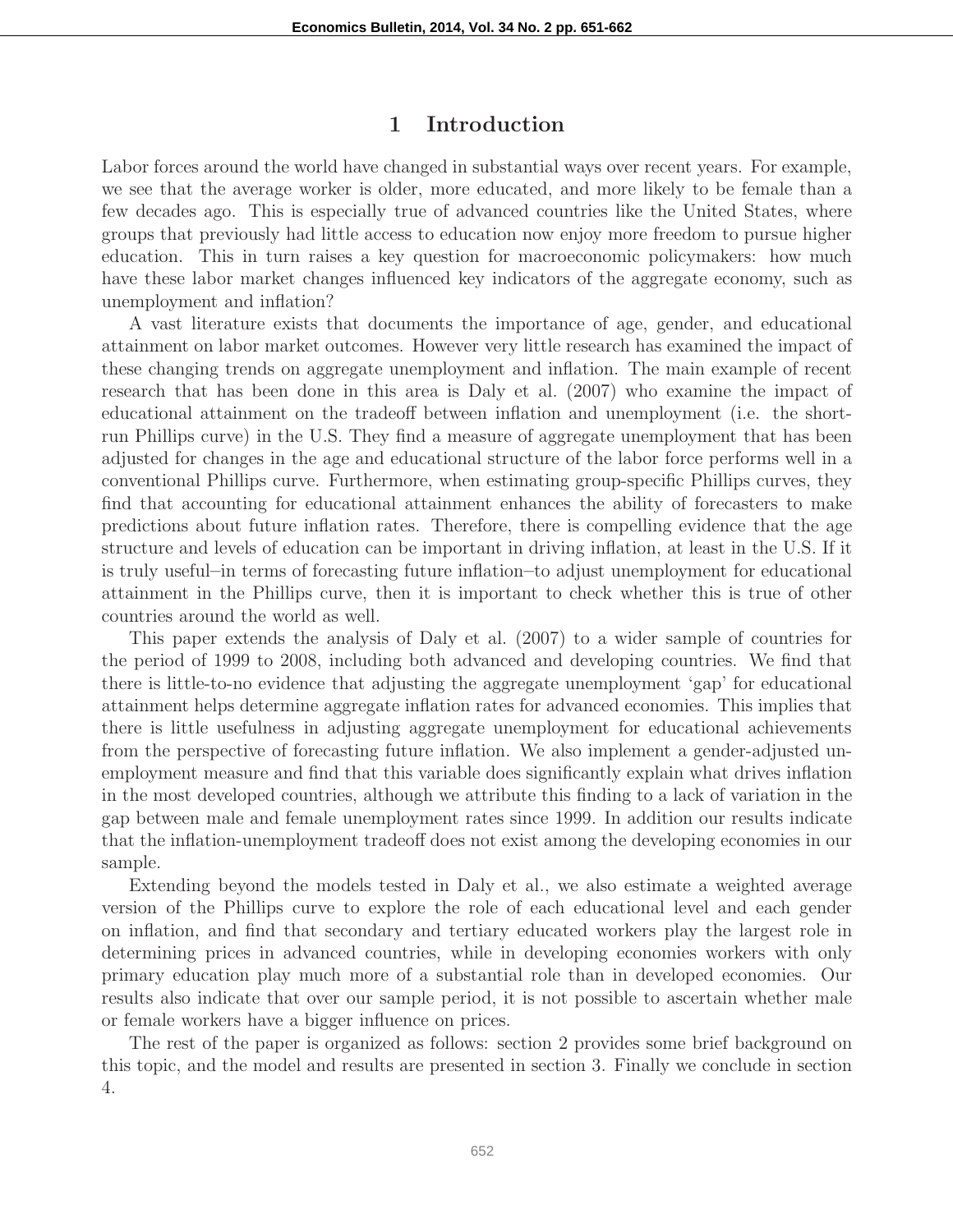#### 1 Introduction

Labor forces around the world have changed in substantial ways over recent years. For example, we see that the average worker is older, more educated, and more likely to be female than a few decades ago. This is especially true of advanced countries like the United States, where groups that previously had little access to education now enjoy more freedom to pursue higher education. This in turn raises a key question for macroeconomic policymakers: how much have these labor market changes influenced key indicators of the aggregate economy, such as unemployment and inflation?

A vast literature exists that documents the importance of age, gender, and educational attainment on labor market outcomes. However very little research has examined the impact of these changing trends on aggregate unemployment and inflation. The main example of recent research that has been done in this area is Daly et al. (2007) who examine the impact of educational attainment on the tradeoff between inflation and unemployment (i.e. the shortrun Phillips curve) in the U.S. They find a measure of aggregate unemployment that has been adjusted for changes in the age and educational structure of the labor force performs well in a conventional Phillips curve. Furthermore, when estimating group-specific Phillips curves, they find that accounting for educational attainment enhances the ability of forecasters to make predictions about future inflation rates. Therefore, there is compelling evidence that the age structure and levels of education can be important in driving inflation, at least in the U.S. If it is truly useful–in terms of forecasting future inflation–to adjust unemployment for educational attainment in the Phillips curve, then it is important to check whether this is true of other countries around the world as well.

This paper extends the analysis of Daly et al. (2007) to a wider sample of countries for the period of 1999 to 2008, including both advanced and developing countries. We find that there is little-to-no evidence that adjusting the aggregate unemployment 'gap' for educational attainment helps determine aggregate inflation rates for advanced economies. This implies that there is little usefulness in adjusting aggregate unemployment for educational achievements from the perspective of forecasting future inflation. We also implement a gender-adjusted unemployment measure and find that this variable does significantly explain what drives inflation in the most developed countries, although we attribute this finding to a lack of variation in the gap between male and female unemployment rates since 1999. In addition our results indicate that the inflation-unemployment tradeoff does not exist among the developing economies in our sample.

Extending beyond the models tested in Daly et al., we also estimate a weighted average version of the Phillips curve to explore the role of each educational level and each gender on inflation, and find that secondary and tertiary educated workers play the largest role in determining prices in advanced countries, while in developing economies workers with only primary education play much more of a substantial role than in developed economies. Our results also indicate that over our sample period, it is not possible to ascertain whether male or female workers have a bigger influence on prices.

The rest of the paper is organized as follows: section 2 provides some brief background on this topic, and the model and results are presented in section 3. Finally we conclude in section 4.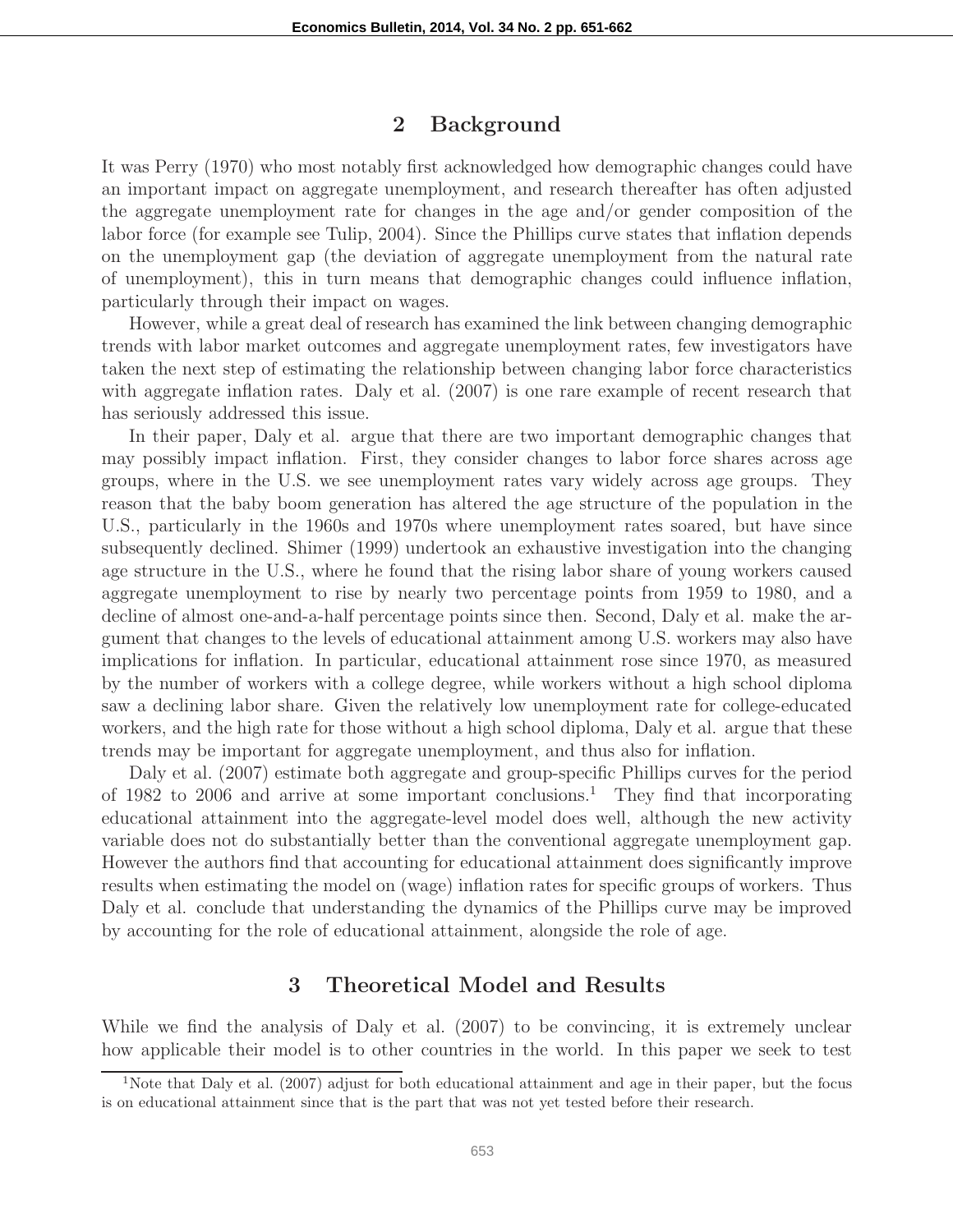#### 2 Background

It was Perry (1970) who most notably first acknowledged how demographic changes could have an important impact on aggregate unemployment, and research thereafter has often adjusted the aggregate unemployment rate for changes in the age and/or gender composition of the labor force (for example see Tulip, 2004). Since the Phillips curve states that inflation depends on the unemployment gap (the deviation of aggregate unemployment from the natural rate of unemployment), this in turn means that demographic changes could influence inflation, particularly through their impact on wages.

However, while a great deal of research has examined the link between changing demographic trends with labor market outcomes and aggregate unemployment rates, few investigators have taken the next step of estimating the relationship between changing labor force characteristics with aggregate inflation rates. Daly et al. (2007) is one rare example of recent research that has seriously addressed this issue.

In their paper, Daly et al. argue that there are two important demographic changes that may possibly impact inflation. First, they consider changes to labor force shares across age groups, where in the U.S. we see unemployment rates vary widely across age groups. They reason that the baby boom generation has altered the age structure of the population in the U.S., particularly in the 1960s and 1970s where unemployment rates soared, but have since subsequently declined. Shimer (1999) undertook an exhaustive investigation into the changing age structure in the U.S., where he found that the rising labor share of young workers caused aggregate unemployment to rise by nearly two percentage points from 1959 to 1980, and a decline of almost one-and-a-half percentage points since then. Second, Daly et al. make the argument that changes to the levels of educational attainment among U.S. workers may also have implications for inflation. In particular, educational attainment rose since 1970, as measured by the number of workers with a college degree, while workers without a high school diploma saw a declining labor share. Given the relatively low unemployment rate for college-educated workers, and the high rate for those without a high school diploma, Daly et al. argue that these trends may be important for aggregate unemployment, and thus also for inflation.

Daly et al. (2007) estimate both aggregate and group-specific Phillips curves for the period of 1982 to 2006 and arrive at some important conclusions.<sup>1</sup> They find that incorporating educational attainment into the aggregate-level model does well, although the new activity variable does not do substantially better than the conventional aggregate unemployment gap. However the authors find that accounting for educational attainment does significantly improve results when estimating the model on (wage) inflation rates for specific groups of workers. Thus Daly et al. conclude that understanding the dynamics of the Phillips curve may be improved by accounting for the role of educational attainment, alongside the role of age.

## 3 Theoretical Model and Results

While we find the analysis of Daly et al. (2007) to be convincing, it is extremely unclear how applicable their model is to other countries in the world. In this paper we seek to test

<sup>&</sup>lt;sup>1</sup>Note that Daly et al. (2007) adjust for both educational attainment and age in their paper, but the focus is on educational attainment since that is the part that was not yet tested before their research.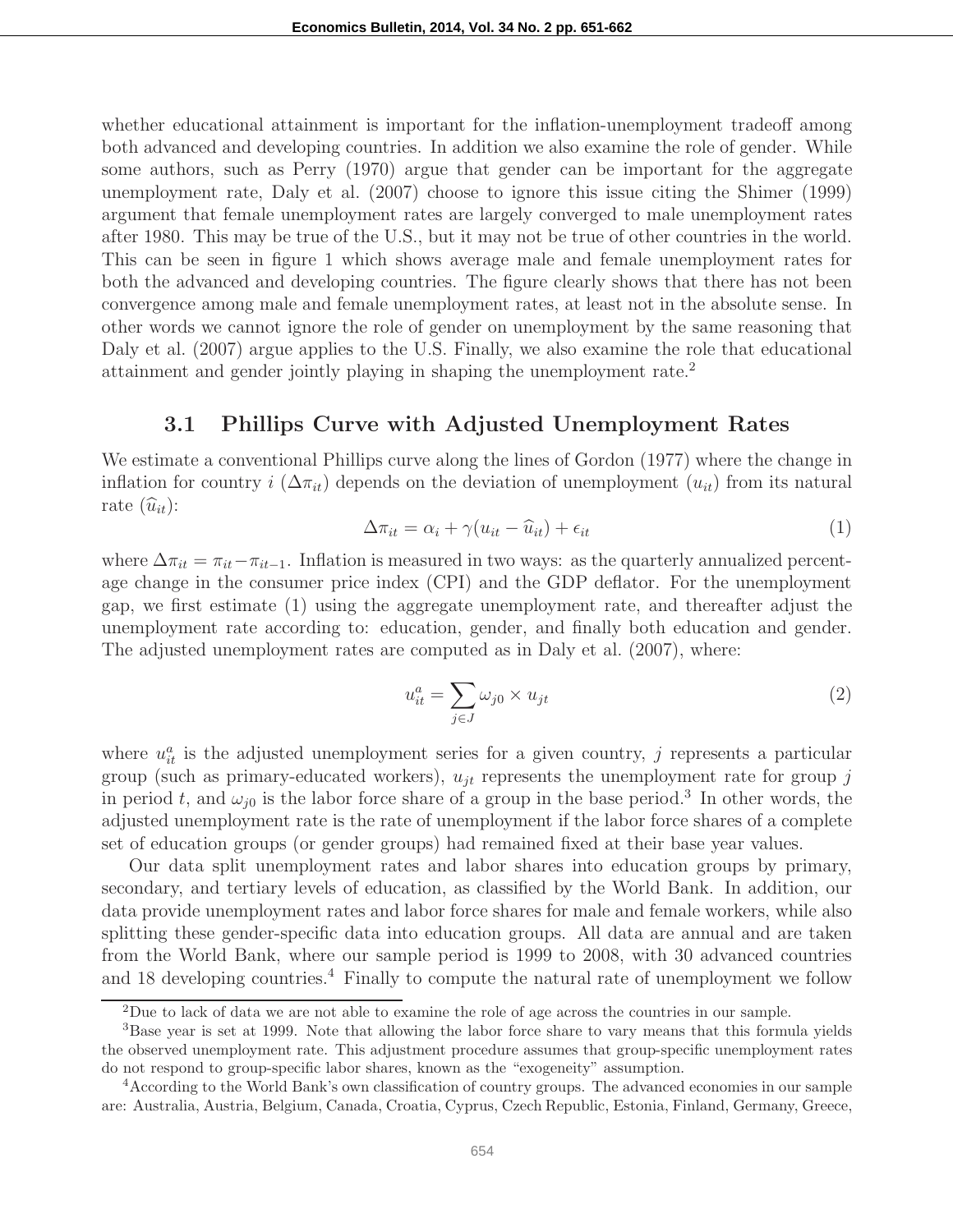whether educational attainment is important for the inflation-unemployment tradeoff among both advanced and developing countries. In addition we also examine the role of gender. While some authors, such as Perry (1970) argue that gender can be important for the aggregate unemployment rate, Daly et al. (2007) choose to ignore this issue citing the Shimer (1999) argument that female unemployment rates are largely converged to male unemployment rates after 1980. This may be true of the U.S., but it may not be true of other countries in the world. This can be seen in figure 1 which shows average male and female unemployment rates for both the advanced and developing countries. The figure clearly shows that there has not been convergence among male and female unemployment rates, at least not in the absolute sense. In other words we cannot ignore the role of gender on unemployment by the same reasoning that Daly et al. (2007) argue applies to the U.S. Finally, we also examine the role that educational attainment and gender jointly playing in shaping the unemployment rate.<sup>2</sup>

## 3.1 Phillips Curve with Adjusted Unemployment Rates

We estimate a conventional Phillips curve along the lines of Gordon (1977) where the change in inflation for country i  $(\Delta \pi_{it})$  depends on the deviation of unemployment  $(u_{it})$  from its natural rate  $(\widehat{u}_{it})$ :

$$
\Delta \pi_{it} = \alpha_i + \gamma (u_{it} - \widehat{u}_{it}) + \epsilon_{it}
$$
\n(1)

where  $\Delta \pi_{it} = \pi_{it} - \pi_{it-1}$ . Inflation is measured in two ways: as the quarterly annualized percentage change in the consumer price index (CPI) and the GDP deflator. For the unemployment gap, we first estimate (1) using the aggregate unemployment rate, and thereafter adjust the unemployment rate according to: education, gender, and finally both education and gender. The adjusted unemployment rates are computed as in Daly et al. (2007), where:

$$
u_{it}^a = \sum_{j \in J} \omega_{j0} \times u_{jt} \tag{2}
$$

where  $u_{it}^{a}$  is the adjusted unemployment series for a given country, j represents a particular group (such as primary-educated workers),  $u_{jt}$  represents the unemployment rate for group j in period t, and  $\omega_{j0}$  is the labor force share of a group in the base period.<sup>3</sup> In other words, the adjusted unemployment rate is the rate of unemployment if the labor force shares of a complete set of education groups (or gender groups) had remained fixed at their base year values.

Our data split unemployment rates and labor shares into education groups by primary, secondary, and tertiary levels of education, as classified by the World Bank. In addition, our data provide unemployment rates and labor force shares for male and female workers, while also splitting these gender-specific data into education groups. All data are annual and are taken from the World Bank, where our sample period is 1999 to 2008, with 30 advanced countries and 18 developing countries.<sup>4</sup> Finally to compute the natural rate of unemployment we follow

<sup>2</sup>Due to lack of data we are not able to examine the role of age across the countries in our sample.

<sup>3</sup>Base year is set at 1999. Note that allowing the labor force share to vary means that this formula yields the observed unemployment rate. This adjustment procedure assumes that group-specific unemployment rates do not respond to group-specific labor shares, known as the "exogeneity" assumption.

<sup>4</sup>According to the World Bank's own classification of country groups. The advanced economies in our sample are: Australia, Austria, Belgium, Canada, Croatia, Cyprus, Czech Republic, Estonia, Finland, Germany, Greece,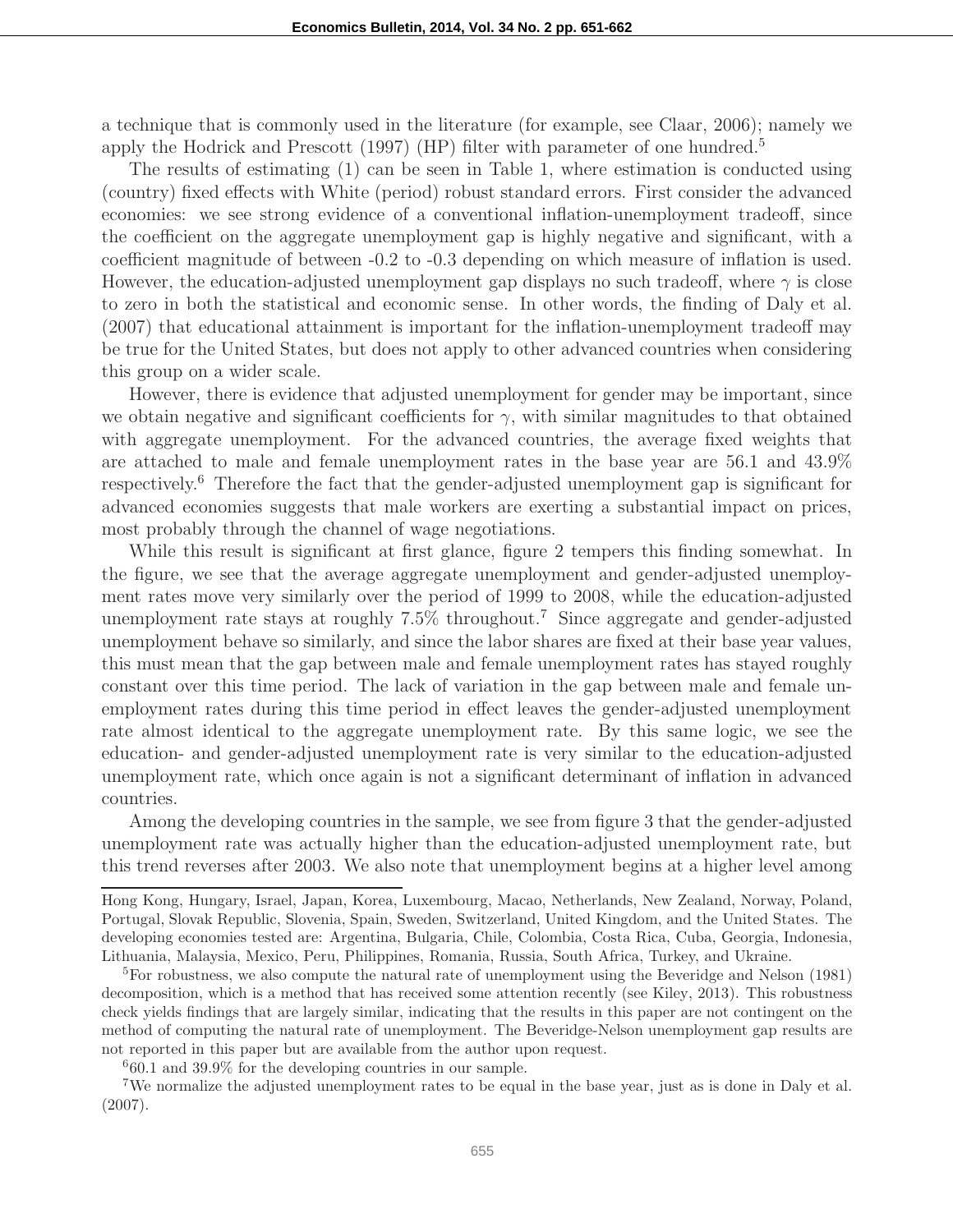a technique that is commonly used in the literature (for example, see Claar, 2006); namely we apply the Hodrick and Prescott (1997) (HP) filter with parameter of one hundred.<sup>5</sup>

The results of estimating (1) can be seen in Table 1, where estimation is conducted using (country) fixed effects with White (period) robust standard errors. First consider the advanced economies: we see strong evidence of a conventional inflation-unemployment tradeoff, since the coefficient on the aggregate unemployment gap is highly negative and significant, with a coefficient magnitude of between -0.2 to -0.3 depending on which measure of inflation is used. However, the education-adjusted unemployment gap displays no such tradeoff, where  $\gamma$  is close to zero in both the statistical and economic sense. In other words, the finding of Daly et al. (2007) that educational attainment is important for the inflation-unemployment tradeoff may be true for the United States, but does not apply to other advanced countries when considering this group on a wider scale.

However, there is evidence that adjusted unemployment for gender may be important, since we obtain negative and significant coefficients for  $\gamma$ , with similar magnitudes to that obtained with aggregate unemployment. For the advanced countries, the average fixed weights that are attached to male and female unemployment rates in the base year are 56.1 and 43.9% respectively.<sup>6</sup> Therefore the fact that the gender-adjusted unemployment gap is significant for advanced economies suggests that male workers are exerting a substantial impact on prices, most probably through the channel of wage negotiations.

While this result is significant at first glance, figure 2 tempers this finding somewhat. In the figure, we see that the average aggregate unemployment and gender-adjusted unemployment rates move very similarly over the period of 1999 to 2008, while the education-adjusted unemployment rate stays at roughly 7.5% throughout.<sup>7</sup> Since aggregate and gender-adjusted unemployment behave so similarly, and since the labor shares are fixed at their base year values, this must mean that the gap between male and female unemployment rates has stayed roughly constant over this time period. The lack of variation in the gap between male and female unemployment rates during this time period in effect leaves the gender-adjusted unemployment rate almost identical to the aggregate unemployment rate. By this same logic, we see the education- and gender-adjusted unemployment rate is very similar to the education-adjusted unemployment rate, which once again is not a significant determinant of inflation in advanced countries.

Among the developing countries in the sample, we see from figure 3 that the gender-adjusted unemployment rate was actually higher than the education-adjusted unemployment rate, but this trend reverses after 2003. We also note that unemployment begins at a higher level among

<sup>6</sup>60.1 and 39.9% for the developing countries in our sample.

Hong Kong, Hungary, Israel, Japan, Korea, Luxembourg, Macao, Netherlands, New Zealand, Norway, Poland, Portugal, Slovak Republic, Slovenia, Spain, Sweden, Switzerland, United Kingdom, and the United States. The developing economies tested are: Argentina, Bulgaria, Chile, Colombia, Costa Rica, Cuba, Georgia, Indonesia, Lithuania, Malaysia, Mexico, Peru, Philippines, Romania, Russia, South Africa, Turkey, and Ukraine.

<sup>&</sup>lt;sup>5</sup>For robustness, we also compute the natural rate of unemployment using the Beveridge and Nelson (1981) decomposition, which is a method that has received some attention recently (see Kiley, 2013). This robustness check yields findings that are largely similar, indicating that the results in this paper are not contingent on the method of computing the natural rate of unemployment. The Beveridge-Nelson unemployment gap results are not reported in this paper but are available from the author upon request.

<sup>7</sup>We normalize the adjusted unemployment rates to be equal in the base year, just as is done in Daly et al. (2007).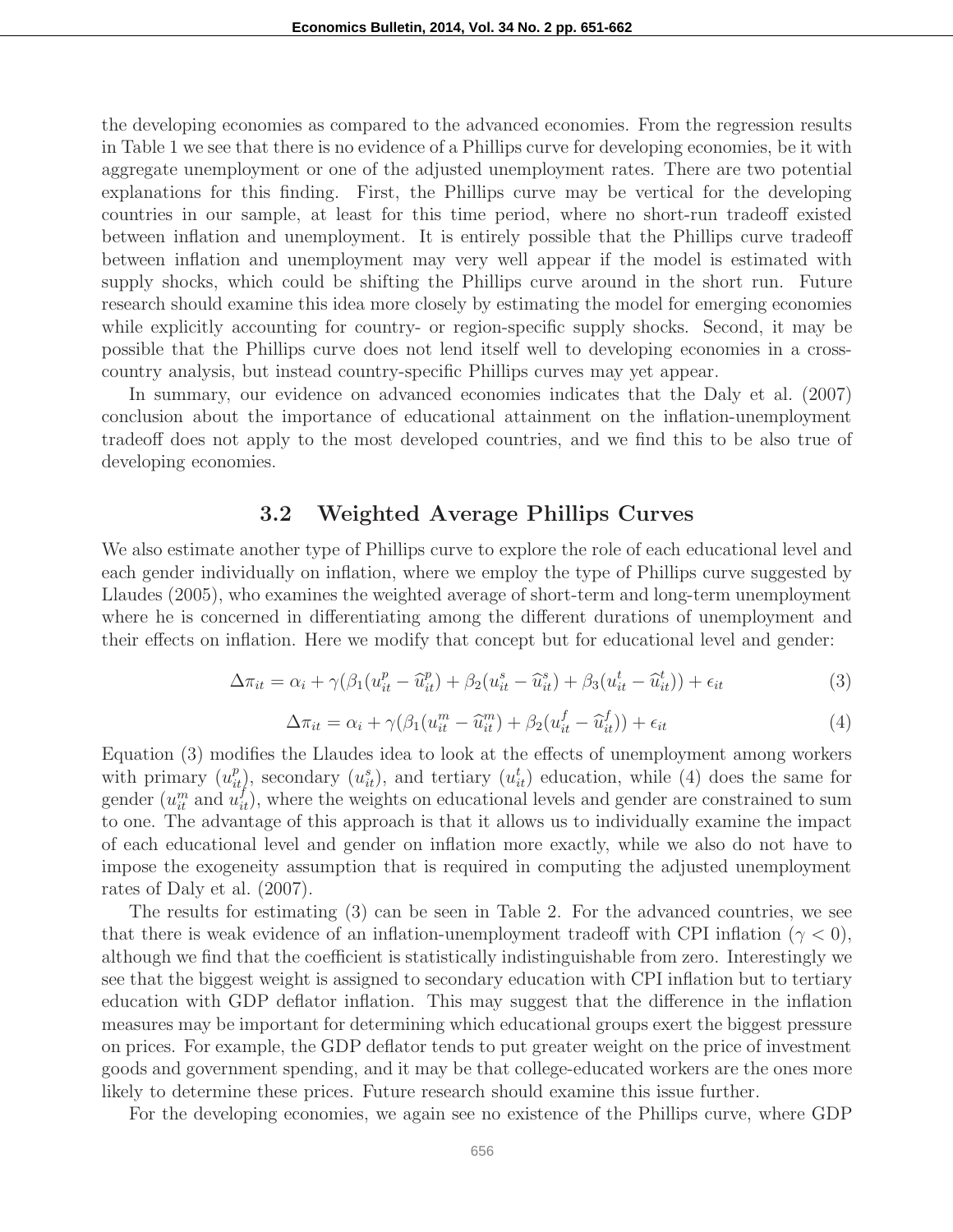the developing economies as compared to the advanced economies. From the regression results in Table 1 we see that there is no evidence of a Phillips curve for developing economies, be it with aggregate unemployment or one of the adjusted unemployment rates. There are two potential explanations for this finding. First, the Phillips curve may be vertical for the developing countries in our sample, at least for this time period, where no short-run tradeoff existed between inflation and unemployment. It is entirely possible that the Phillips curve tradeoff between inflation and unemployment may very well appear if the model is estimated with supply shocks, which could be shifting the Phillips curve around in the short run. Future research should examine this idea more closely by estimating the model for emerging economies while explicitly accounting for country- or region-specific supply shocks. Second, it may be possible that the Phillips curve does not lend itself well to developing economies in a crosscountry analysis, but instead country-specific Phillips curves may yet appear.

In summary, our evidence on advanced economies indicates that the Daly et al. (2007) conclusion about the importance of educational attainment on the inflation-unemployment tradeoff does not apply to the most developed countries, and we find this to be also true of developing economies.

# 3.2 Weighted Average Phillips Curves

We also estimate another type of Phillips curve to explore the role of each educational level and each gender individually on inflation, where we employ the type of Phillips curve suggested by Llaudes (2005), who examines the weighted average of short-term and long-term unemployment where he is concerned in differentiating among the different durations of unemployment and their effects on inflation. Here we modify that concept but for educational level and gender:

$$
\Delta \pi_{it} = \alpha_i + \gamma (\beta_1 (u_{it}^p - \widehat{u}_{it}^p) + \beta_2 (u_{it}^s - \widehat{u}_{it}^s) + \beta_3 (u_{it}^t - \widehat{u}_{it}^t)) + \epsilon_{it}
$$
\n(3)

$$
\Delta \pi_{it} = \alpha_i + \gamma (\beta_1 (u_{it}^m - \widehat{u}_{it}^m) + \beta_2 (u_{it}^f - \widehat{u}_{it}^f)) + \epsilon_{it} \tag{4}
$$

Equation (3) modifies the Llaudes idea to look at the effects of unemployment among workers with primary  $(u_{it}^p)$ , secondary  $(u_{it}^s)$ , and tertiary  $(u_{it}^t)$  education, while (4) does the same for gender  $(u_i^m$  and  $u_i^f$ ), where the weights on educational levels and gender are constrained to sum to one. The advantage of this approach is that it allows us to individually examine the impact of each educational level and gender on inflation more exactly, while we also do not have to impose the exogeneity assumption that is required in computing the adjusted unemployment rates of Daly et al. (2007).

The results for estimating (3) can be seen in Table 2. For the advanced countries, we see that there is weak evidence of an inflation-unemployment tradeoff with CPI inflation ( $\gamma < 0$ ), although we find that the coefficient is statistically indistinguishable from zero. Interestingly we see that the biggest weight is assigned to secondary education with CPI inflation but to tertiary education with GDP deflator inflation. This may suggest that the difference in the inflation measures may be important for determining which educational groups exert the biggest pressure on prices. For example, the GDP deflator tends to put greater weight on the price of investment goods and government spending, and it may be that college-educated workers are the ones more likely to determine these prices. Future research should examine this issue further.

For the developing economies, we again see no existence of the Phillips curve, where GDP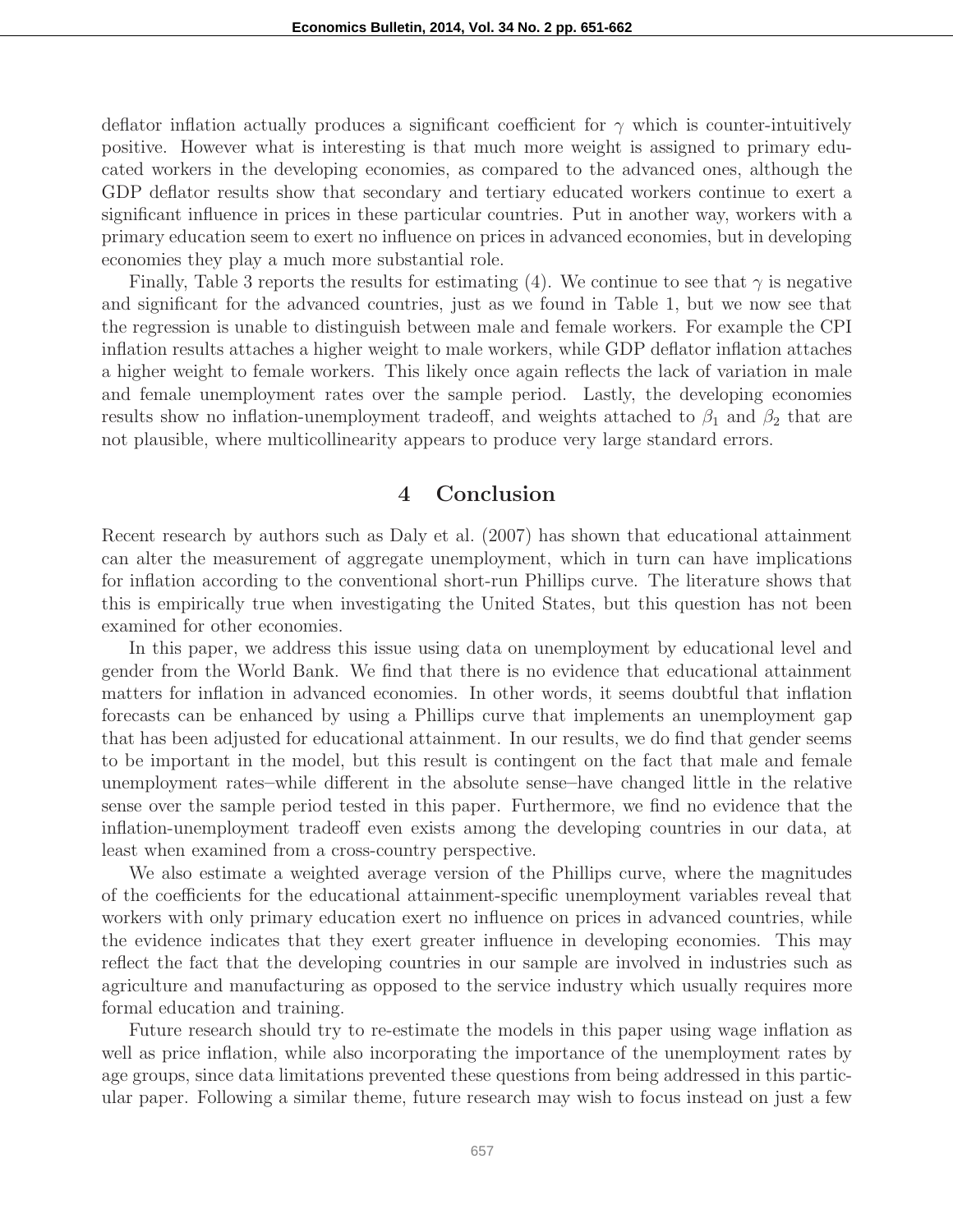deflator inflation actually produces a significant coefficient for  $\gamma$  which is counter-intuitively positive. However what is interesting is that much more weight is assigned to primary educated workers in the developing economies, as compared to the advanced ones, although the GDP deflator results show that secondary and tertiary educated workers continue to exert a significant influence in prices in these particular countries. Put in another way, workers with a primary education seem to exert no influence on prices in advanced economies, but in developing economies they play a much more substantial role.

Finally, Table 3 reports the results for estimating (4). We continue to see that  $\gamma$  is negative and significant for the advanced countries, just as we found in Table 1, but we now see that the regression is unable to distinguish between male and female workers. For example the CPI inflation results attaches a higher weight to male workers, while GDP deflator inflation attaches a higher weight to female workers. This likely once again reflects the lack of variation in male and female unemployment rates over the sample period. Lastly, the developing economies results show no inflation-unemployment tradeoff, and weights attached to  $\beta_1$  and  $\beta_2$  that are not plausible, where multicollinearity appears to produce very large standard errors.

#### 4 Conclusion

Recent research by authors such as Daly et al. (2007) has shown that educational attainment can alter the measurement of aggregate unemployment, which in turn can have implications for inflation according to the conventional short-run Phillips curve. The literature shows that this is empirically true when investigating the United States, but this question has not been examined for other economies.

In this paper, we address this issue using data on unemployment by educational level and gender from the World Bank. We find that there is no evidence that educational attainment matters for inflation in advanced economies. In other words, it seems doubtful that inflation forecasts can be enhanced by using a Phillips curve that implements an unemployment gap that has been adjusted for educational attainment. In our results, we do find that gender seems to be important in the model, but this result is contingent on the fact that male and female unemployment rates–while different in the absolute sense–have changed little in the relative sense over the sample period tested in this paper. Furthermore, we find no evidence that the inflation-unemployment tradeoff even exists among the developing countries in our data, at least when examined from a cross-country perspective.

We also estimate a weighted average version of the Phillips curve, where the magnitudes of the coefficients for the educational attainment-specific unemployment variables reveal that workers with only primary education exert no influence on prices in advanced countries, while the evidence indicates that they exert greater influence in developing economies. This may reflect the fact that the developing countries in our sample are involved in industries such as agriculture and manufacturing as opposed to the service industry which usually requires more formal education and training.

Future research should try to re-estimate the models in this paper using wage inflation as well as price inflation, while also incorporating the importance of the unemployment rates by age groups, since data limitations prevented these questions from being addressed in this particular paper. Following a similar theme, future research may wish to focus instead on just a few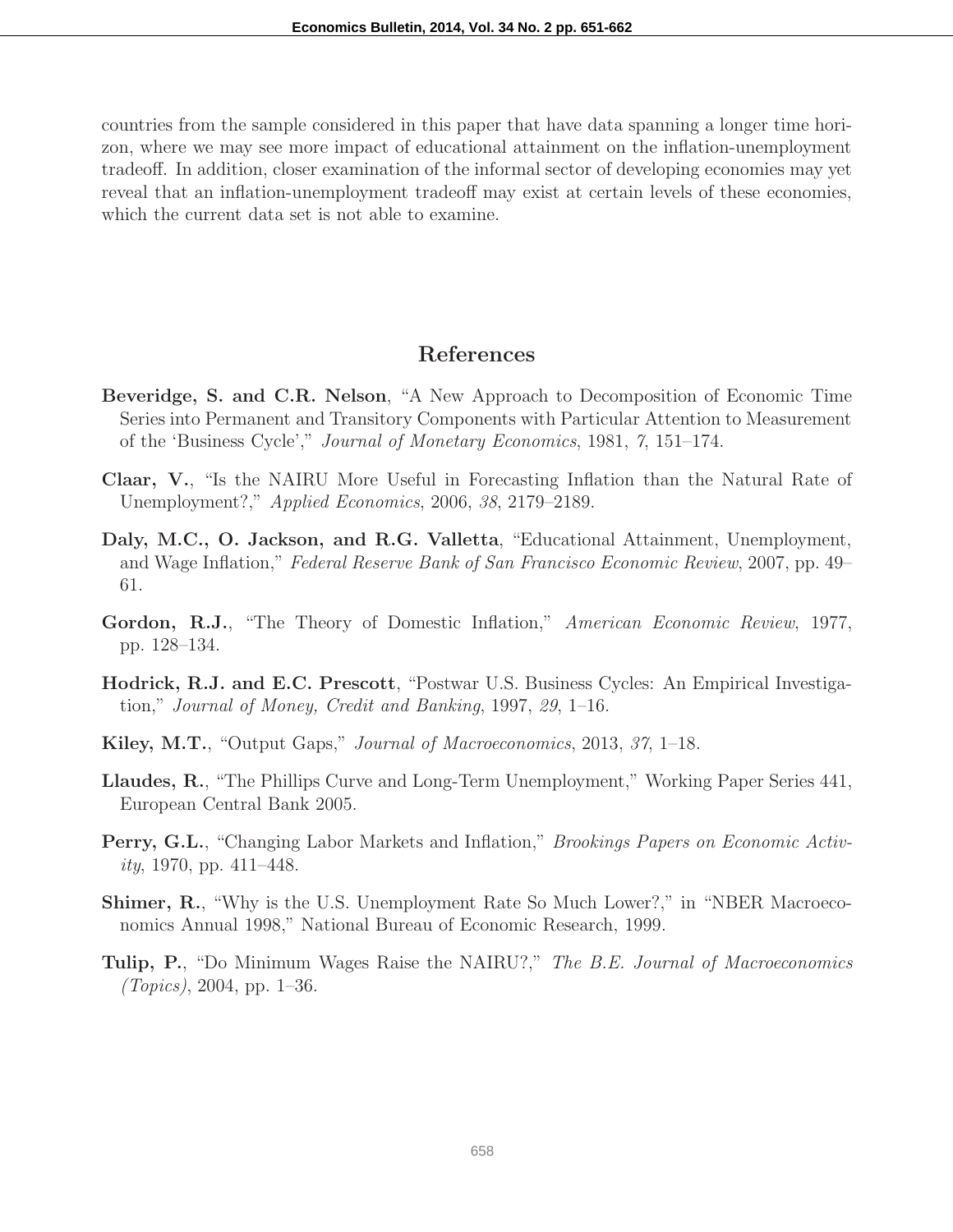countries from the sample considered in this paper that have data spanning a longer time horizon, where we may see more impact of educational attainment on the inflation-unemployment tradeoff. In addition, closer examination of the informal sector of developing economies may yet reveal that an inflation-unemployment tradeoff may exist at certain levels of these economies, which the current data set is not able to examine.

## References

- Beveridge, S. and C.R. Nelson, "A New Approach to Decomposition of Economic Time Series into Permanent and Transitory Components with Particular Attention to Measurement of the 'Business Cycle'," Journal of Monetary Economics, 1981, 7, 151–174.
- Claar, V., "Is the NAIRU More Useful in Forecasting Inflation than the Natural Rate of Unemployment?," Applied Economics, 2006, 38, 2179–2189.
- Daly, M.C., O. Jackson, and R.G. Valletta, "Educational Attainment, Unemployment, and Wage Inflation," Federal Reserve Bank of San Francisco Economic Review, 2007, pp. 49– 61.
- Gordon, R.J., "The Theory of Domestic Inflation," American Economic Review, 1977, pp. 128–134.
- Hodrick, R.J. and E.C. Prescott, "Postwar U.S. Business Cycles: An Empirical Investigation," Journal of Money, Credit and Banking, 1997, 29, 1–16.
- Kiley, M.T., "Output Gaps," Journal of Macroeconomics, 2013, 37, 1–18.
- Llaudes, R., "The Phillips Curve and Long-Term Unemployment," Working Paper Series 441, European Central Bank 2005.
- **Perry, G.L.,** "Changing Labor Markets and Inflation," *Brookings Papers on Economic Activ* $ity, 1970, pp. 411–448.$
- **Shimer, R., "Why is the U.S. Unemployment Rate So Much Lower?," in "NBER Macroeco**nomics Annual 1998," National Bureau of Economic Research, 1999.
- **Tulip, P.**, "Do Minimum Wages Raise the NAIRU?," The B.E. Journal of Macroeconomics  $(Topics), 2004, pp. 1–36.$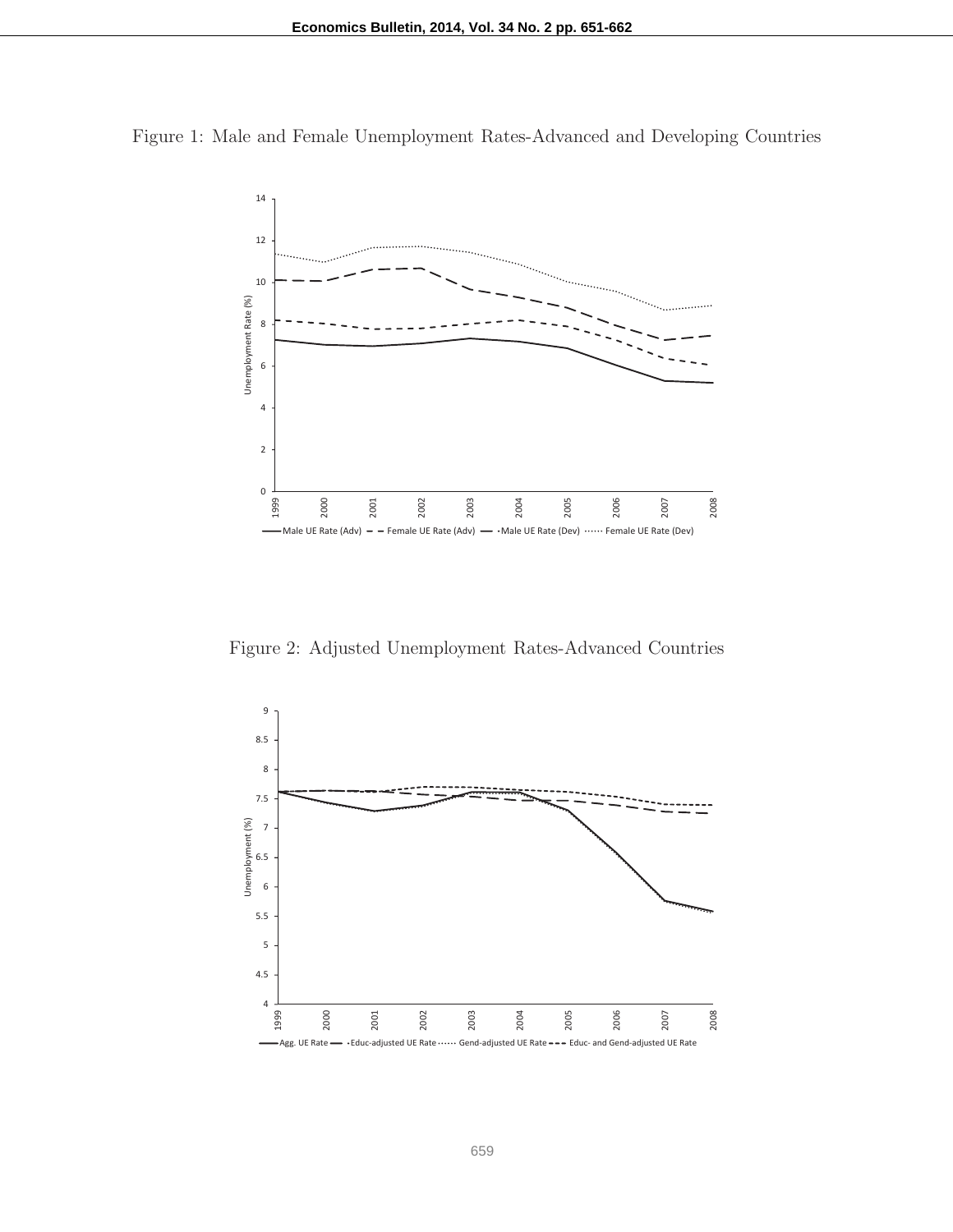Figure 1: Male and Female Unemployment Rates-Advanced and Developing Countries



Figure 2: Adjusted Unemployment Rates-Advanced Countries

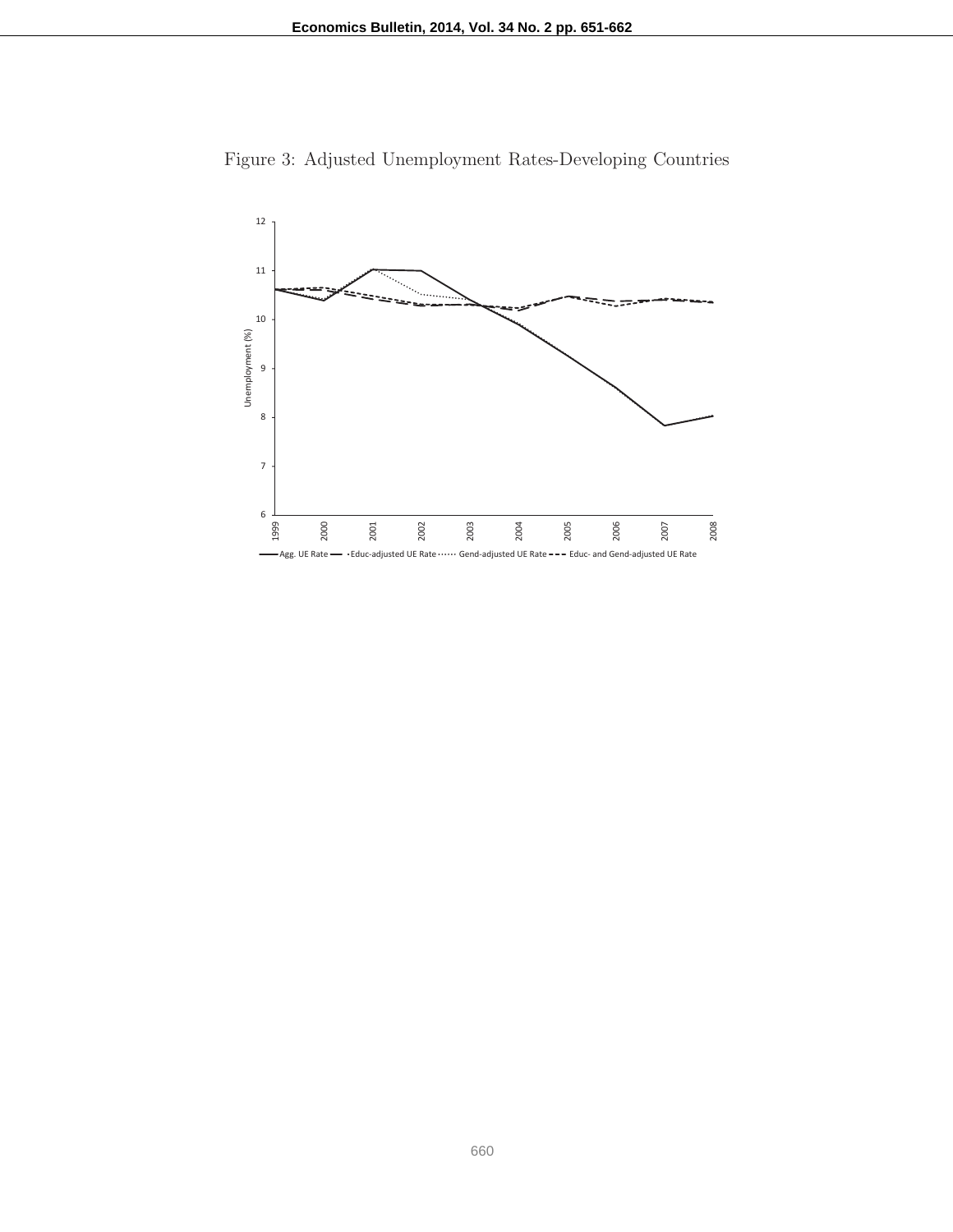

Figure 3: Adjusted Unemployment Rates-Developing Countries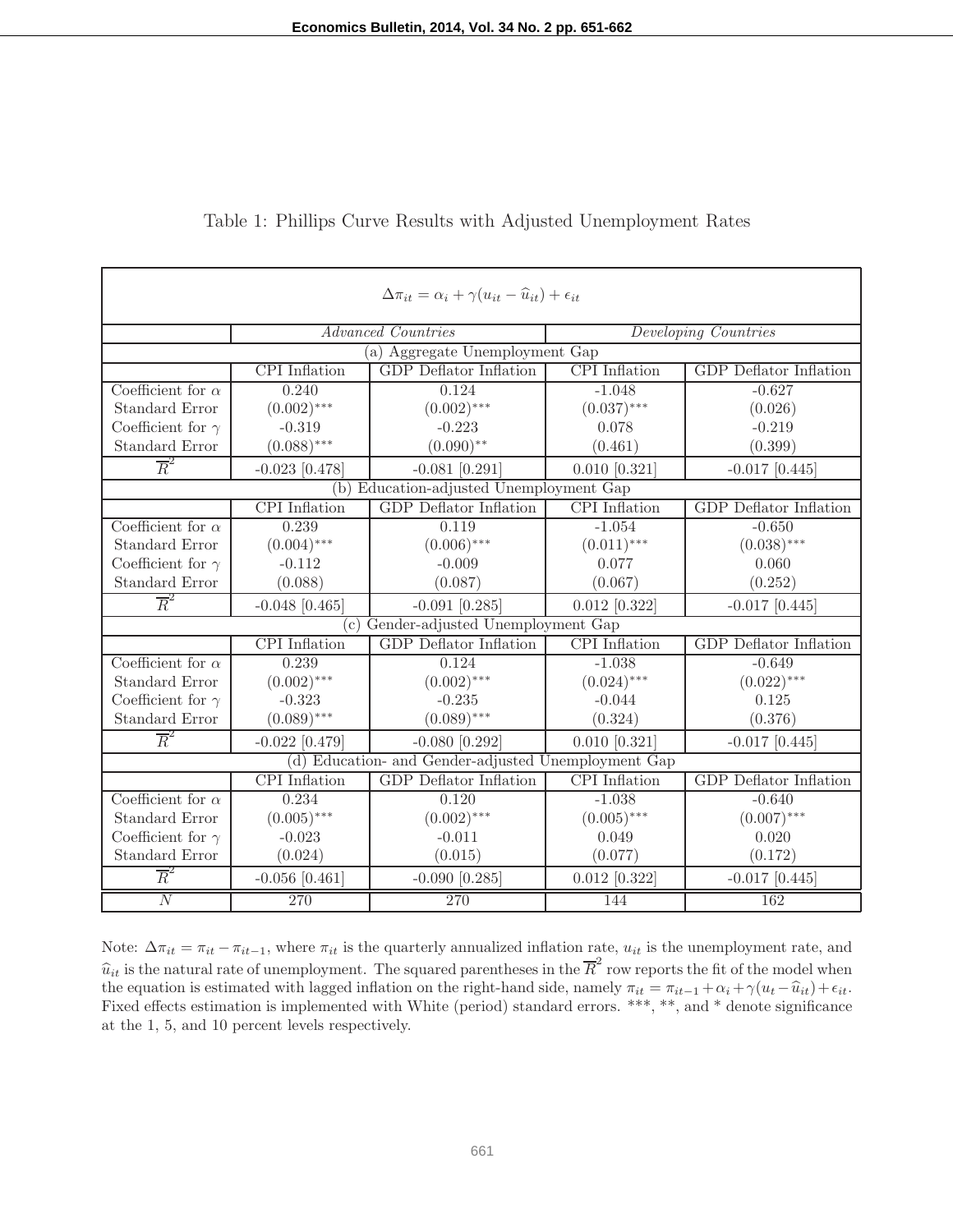| $\Delta \pi_{it} = \alpha_i + \gamma (u_{it} - \widehat{u}_{it}) + \epsilon_{it}$ |                                   |                                         |                      |                               |
|-----------------------------------------------------------------------------------|-----------------------------------|-----------------------------------------|----------------------|-------------------------------|
|                                                                                   |                                   | <b>Advanced Countries</b>               |                      | Developing Countries          |
|                                                                                   |                                   | (a) Aggregate Unemployment Gap          |                      |                               |
|                                                                                   | <b>CPI</b> Inflation              | <b>GDP</b> Deflator Inflation           | <b>CPI</b> Inflation | <b>GDP</b> Deflator Inflation |
| Coefficient for $\alpha$                                                          | 0.240                             | 0.124                                   | $-1.048$             | $-0.627$                      |
| Standard Error                                                                    | $(0.002)$ ***                     | $(0.002)$ ***                           | $(0.037)$ ***        | (0.026)                       |
| Coefficient for $\gamma$                                                          | $-0.319$                          | $-0.223$                                | 0.078                | $-0.219$                      |
| <b>Standard Error</b>                                                             | $(0.088)$ ***                     | $(0.090)$ **                            | (0.461)              | (0.399)                       |
| $\overline{R}^2$                                                                  | $-0.023$ [0.478]                  | $-0.081$ [0.291]                        | $0.010$ [0.321]      | $-0.017$ [0.445]              |
|                                                                                   |                                   | (b) Education-adjusted Unemployment Gap |                      |                               |
|                                                                                   | <b>CPI</b> Inflation              | <b>GDP</b> Deflator Inflation           | <b>CPI</b> Inflation | <b>GDP</b> Deflator Inflation |
| Coefficient for $\alpha$                                                          | 0.239                             | 0.119                                   | $-1.054$             | $-0.650$                      |
| Standard Error                                                                    | $(0.004)$ ***                     | $(0.006)$ ***                           | $(0.011)$ ***        | $(0.038)$ ***                 |
| Coefficient for $\gamma$                                                          | $-0.112$                          | $-0.009$                                | 0.077                | 0.060                         |
| <b>Standard Error</b>                                                             | (0.088)                           | (0.087)                                 | (0.067)              | (0.252)                       |
| $\overline{R}^2$                                                                  | $-0.048$ [0.465]                  | $-0.091$ [0.285]                        | $0.012$ [0.322]      | $-0.017$ [0.445]              |
|                                                                                   |                                   | (c) Gender-adjusted Unemployment Gap    |                      |                               |
|                                                                                   | <b>CPI</b> Inflation              | <b>GDP</b> Deflator Inflation           | <b>CPI</b> Inflation | <b>GDP</b> Deflator Inflation |
| Coefficient for $\alpha$                                                          | 0.239                             | 0.124                                   | $-1.038$             | $-0.649$                      |
| <b>Standard Error</b>                                                             | $(0.002)$ ***                     | $(0.002)$ ***                           | $(0.024)$ ***        | $(0.022)$ ***                 |
| Coefficient for $\gamma$                                                          | $-0.323$                          | $-0.235$                                | $-0.044$             | 0.125                         |
| <b>Standard Error</b>                                                             | $(0.089)$ ***                     | $(0.089)$ ***                           | (0.324)              | (0.376)                       |
| $\overline{R}^2$                                                                  | $-0.022$ [0.479]                  | $-0.080$ [0.292]                        | $0.010$ [0.321]      | $-0.017$ [0.445]              |
| (d) Education- and Gender-adjusted Unemployment Gap                               |                                   |                                         |                      |                               |
|                                                                                   | $\overline{\text{CPI}}$ Inflation | <b>GDP</b> Deflator Inflation           | <b>CPI</b> Inflation | <b>GDP</b> Deflator Inflation |
| Coefficient for $\alpha$                                                          | 0.234                             | 0.120                                   | $-1.038$             | $-0.640$                      |
| <b>Standard Error</b>                                                             | $(0.005)$ ***                     | $(0.002)$ ***                           | $(0.005)$ ***        | $(0.007)$ ***                 |
| Coefficient for $\gamma$                                                          | $-0.023$                          | $-0.011$                                | 0.049                | 0.020                         |
| <b>Standard Error</b>                                                             | (0.024)                           | (0.015)                                 | (0.077)              | (0.172)                       |
| $\overline{R}^2$                                                                  | $-0.056$ [0.461]                  | $-0.090$ [0.285]                        | $0.012$ [0.322]      | $-0.017$ [0.445]              |
| $\overline{N}$                                                                    | 270                               | 270                                     | 144                  | 162                           |

### Table 1: Phillips Curve Results with Adjusted Unemployment Rates

Note:  $\Delta \pi_{it} = \pi_{it} - \pi_{it-1}$ , where  $\pi_{it}$  is the quarterly annualized inflation rate,  $u_{it}$  is the unemployment rate, and  $\hat{u}_{it}$  is the natural rate of unemployment. The squared parentheses in the  $\overline{R}^2$  row reports the fit of the model when the equation is estimated with lagged inflation on the right-hand side, namely  $\pi_{it} = \pi_{it-1} + \alpha_i + \gamma(u_t - \hat{u}_{it}) + \epsilon_{it}$ . Fixed effects estimation is implemented with White (period) standard errors. \*\*\*, \*\*, and \* denote significance at the 1, 5, and 10 percent levels respectively.